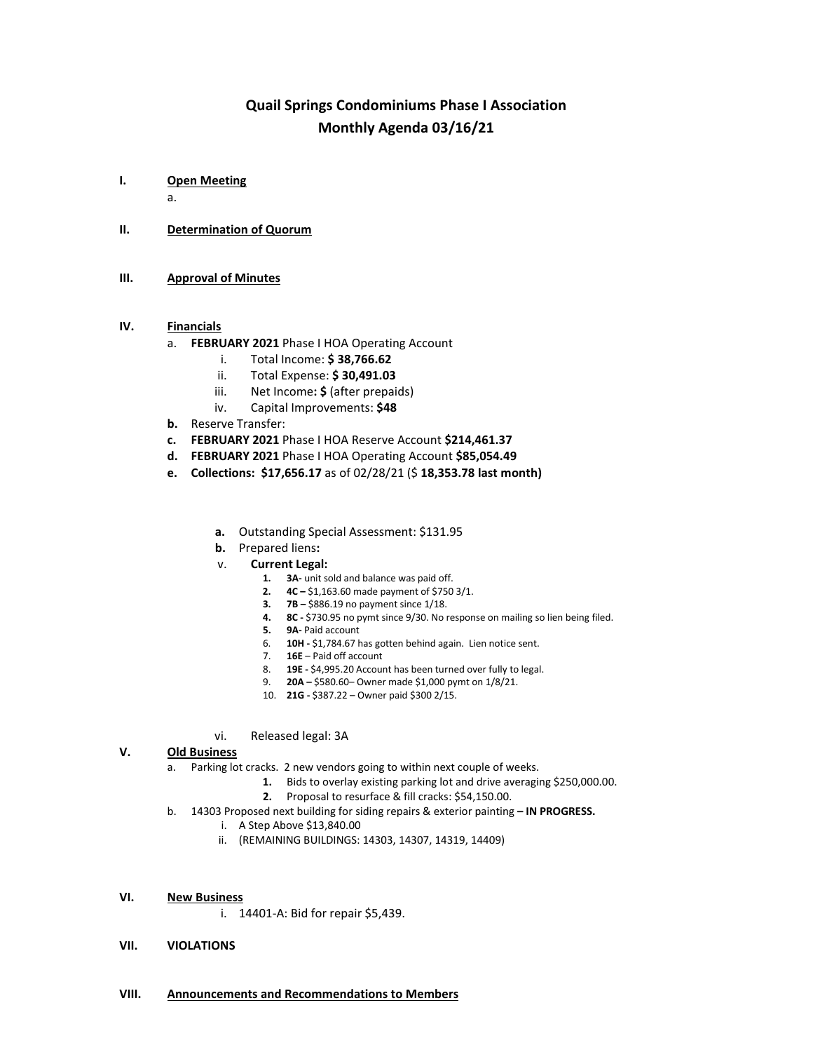# **Quail Springs Condominiums Phase I Association Monthly Agenda 03/16/21**

**I. Open Meeting**

a.

- **II. Determination of Quorum**
- **III. Approval of Minutes**

### **IV. Financials**

- a. **FEBRUARY 2021** Phase I HOA Operating Account
	- i. Total Income: **\$ 38,766.62**
	- ii. Total Expense: **\$ 30,491.03**
	- iii. Net Income**: \$** (after prepaids)
	- iv. Capital Improvements: **\$48**
- **b.** Reserve Transfer:
- **c. FEBRUARY 2021** Phase I HOA Reserve Account **\$214,461.37**
- **d. FEBRUARY 2021** Phase I HOA Operating Account **\$85,054.49**
- **e. Collections: \$17,656.17** as of 02/28/21 (\$ **18,353.78 last month)**
	- **a.** Outstanding Special Assessment: \$131.95
	- **b.** Prepared liens**:**
	- v. **Current Legal:**
		- **1. 3A-** unit sold and balance was paid off.
		- **2. 4C –** \$1,163.60 made payment of \$750 3/1.
		- **3. 7B –** \$886.19 no payment since 1/18.
		- **4. 8C -** \$730.95 no pymt since 9/30. No response on mailing so lien being filed.
		- **5. 9A-** Paid account
		- 6. **10H -** \$1,784.67 has gotten behind again. Lien notice sent.
		- 7. **16E**  Paid off account
		- 8. **19E -** \$4,995.20 Account has been turned over fully to legal.
		- 9. **20A –** \$580.60– Owner made \$1,000 pymt on 1/8/21.
		- 10. **21G -** \$387.22 Owner paid \$300 2/15.
	- vi. Released legal: 3A

#### **V. Old Business**

- a. Parking lot cracks. 2 new vendors going to within next couple of weeks.
	- **1.** Bids to overlay existing parking lot and drive averaging \$250,000.00.
	- **2.** Proposal to resurface & fill cracks: \$54,150.00.
- b. 14303 Proposed next building for siding repairs & exterior painting **– IN PROGRESS.**
	- i. A Step Above \$13,840.00
	- ii. (REMAINING BUILDINGS: 14303, 14307, 14319, 14409)
- **VI. New Business**
	- i. 14401-A: Bid for repair \$5,439.
- **VII. VIOLATIONS**
- **VIII. Announcements and Recommendations to Members**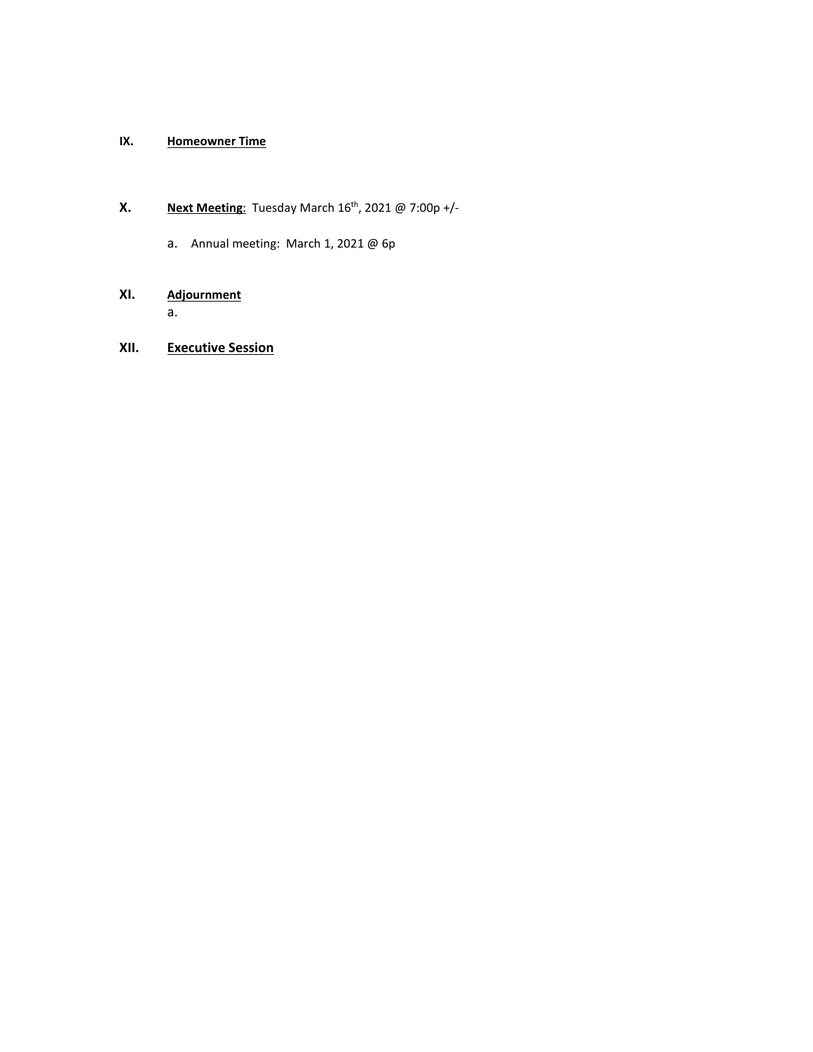## **IX. Homeowner Time**

# **X. Next Meeting**: Tuesday March 16<sup>th</sup>, 2021 @ 7:00p +/-

a. Annual meeting: March 1, 2021 @ 6p

# **XI. Adjournment** a.

# **XII. Executive Session**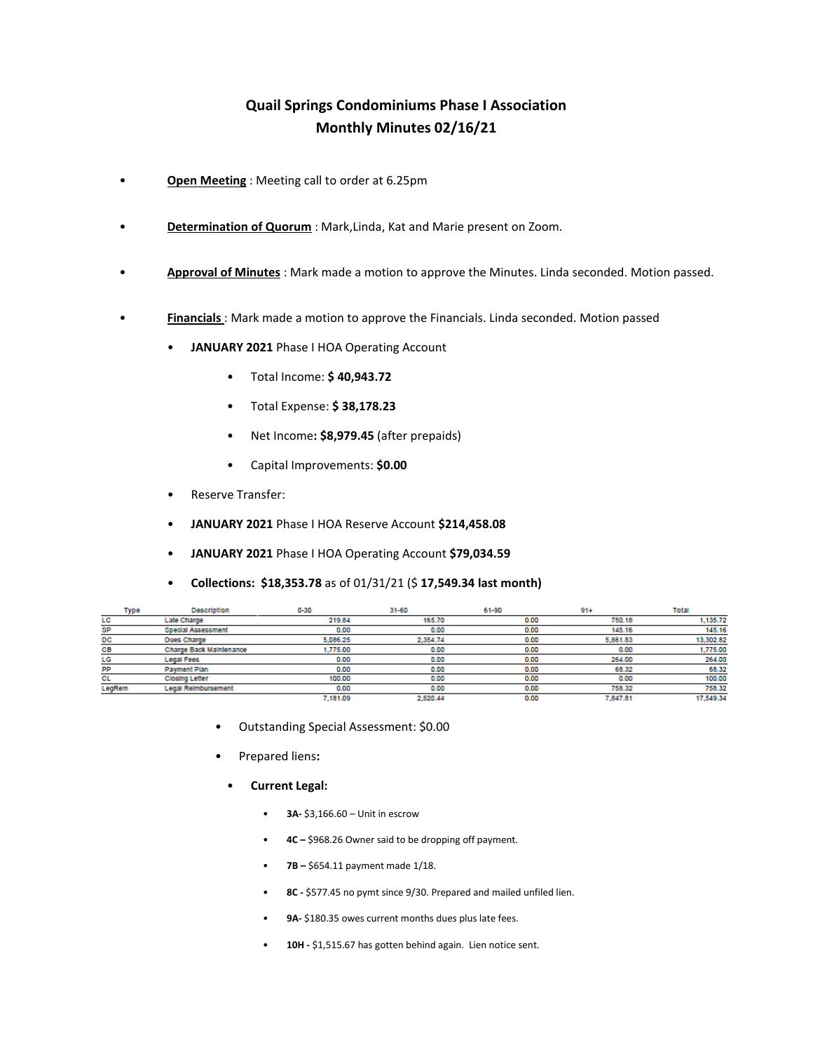# **Quail Springs Condominiums Phase I Association Monthly Minutes 02/16/21**

- **Open Meeting** : Meeting call to order at 6.25pm
- **Determination of Quorum** : Mark,Linda, Kat and Marie present on Zoom.
- **Approval of Minutes** : Mark made a motion to approve the Minutes. Linda seconded. Motion passed.
- **Financials** : Mark made a motion to approve the Financials. Linda seconded. Motion passed
	- **JANUARY 2021** Phase I HOA Operating Account
		- Total Income: **\$ 40,943.72**
		- Total Expense: **\$ 38,178.23**
		- Net Income**: \$8,979.45** (after prepaids)
		- Capital Improvements: **\$0.00**
	- Reserve Transfer:
	- **JANUARY 2021** Phase I HOA Reserve Account **\$214,458.08**
	- **JANUARY 2021** Phase I HOA Operating Account **\$79,034.59**
	- **Collections: \$18,353.78** as of 01/31/21 (\$ **17,549.34 last month)**

| Type   | <b>Description</b>         | $0 - 30$ | 31-60    | 61-90 | $91+$    | Total     |
|--------|----------------------------|----------|----------|-------|----------|-----------|
| LC     | Late Charge                | 219.84   | 165.70   | 0.00  | 750.18   | 1,135.72  |
| SP     | Special Assessment         | 0.00     | 0.00     | 0.00  | 145.16   | 145.16    |
| DC     | <b>Dues Charge</b>         | 5,086.25 | 2.354.74 | 0.00  | 5,861.83 | 13,302.82 |
| CВ     | Charge Back Maintenance    | 1,775.00 | 0.00     | 0.00  | 0.00     | 1,775.00  |
| LG     | Legal Fees                 | 0.00     | 0.00     | 0.00  | 264.00   | 264.00    |
| PP     | Payment Plan               | 0.00     | 0.00     | 0.00  | 68.32    | 68.32     |
| СL     | <b>Closing Letter</b>      | 100,00   | 0.00     | 0.00  | 0.00     | 100.00    |
| LegRem | <b>Legal Reimbursement</b> | 0.00     | 0.00     | 0.00  | 758.32   | 758.32    |
|        |                            | 7.181.09 | 2.520.44 | 0.00  | 7.847.81 | 17.549.34 |

- Outstanding Special Assessment: \$0.00
- Prepared liens**:** 
	- **Current Legal:**
		- **3A-** \$3,166.60 Unit in escrow
		- **4C –** \$968.26 Owner said to be dropping off payment.
		- **7B –** \$654.11 payment made 1/18.
		- **8C -** \$577.45 no pymt since 9/30. Prepared and mailed unfiled lien.
		- 9A- \$180.35 owes current months dues plus late fees.
		- **10H -** \$1,515.67 has gotten behind again. Lien notice sent.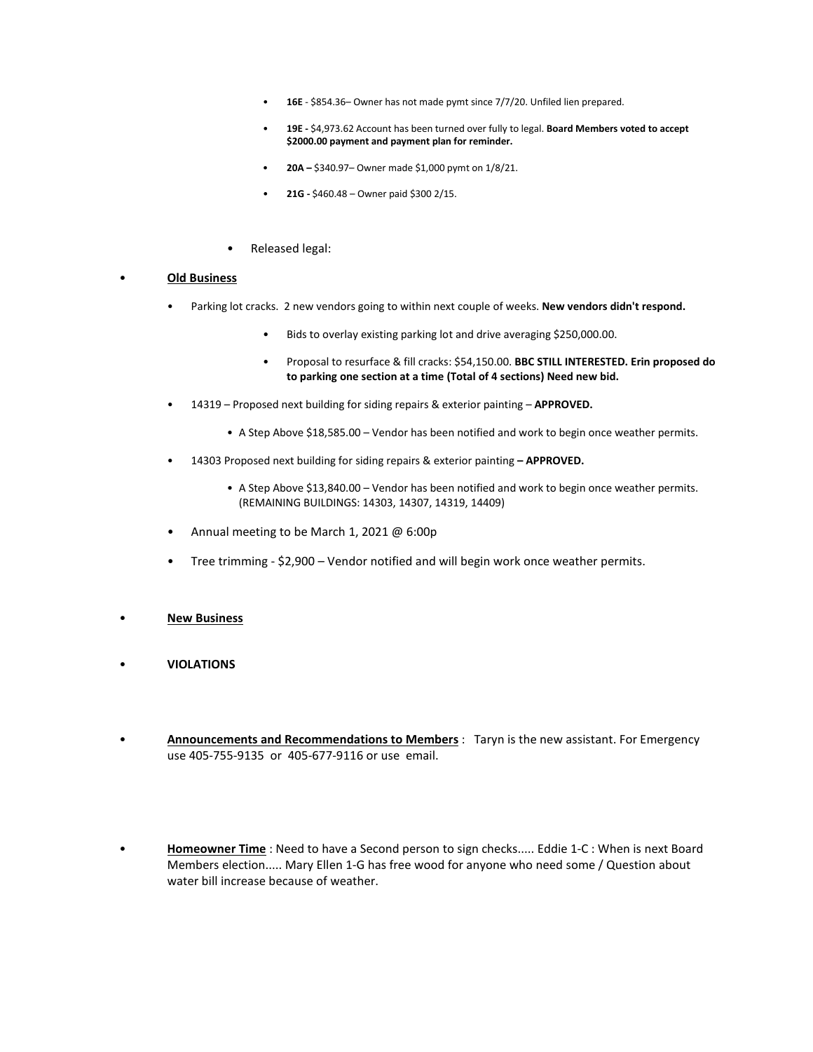- **16E**  \$854.36– Owner has not made pymt since 7/7/20. Unfiled lien prepared.
- **19E -** \$4,973.62 Account has been turned over fully to legal. **Board Members voted to accept \$2000.00 payment and payment plan for reminder.**
- **20A –** \$340.97– Owner made \$1,000 pymt on 1/8/21.
- **21G -** \$460.48 Owner paid \$300 2/15.
- Released legal:

#### • **Old Business**

- Parking lot cracks. 2 new vendors going to within next couple of weeks. **New vendors didn't respond.**
	- Bids to overlay existing parking lot and drive averaging \$250,000.00.
	- Proposal to resurface & fill cracks: \$54,150.00. **BBC STILL INTERESTED. Erin proposed do to parking one section at a time (Total of 4 sections) Need new bid.**
- 14319 Proposed next building for siding repairs & exterior painting **APPROVED.**
	- A Step Above \$18,585.00 Vendor has been notified and work to begin once weather permits.
- 14303 Proposed next building for siding repairs & exterior painting **– APPROVED.**
	- A Step Above \$13,840.00 Vendor has been notified and work to begin once weather permits. (REMAINING BUILDINGS: 14303, 14307, 14319, 14409)
- Annual meeting to be March 1, 2021 @ 6:00p
- Tree trimming \$2,900 Vendor notified and will begin work once weather permits.
- **New Business**
- **VIOLATIONS**
- **Announcements and Recommendations to Members** : Taryn is the new assistant. For Emergency use 405-755-9135 or 405-677-9116 or use email.
- **Homeowner Time** : Need to have a Second person to sign checks..... Eddie 1-C : When is next Board Members election..... Mary Ellen 1-G has free wood for anyone who need some / Question about water bill increase because of weather.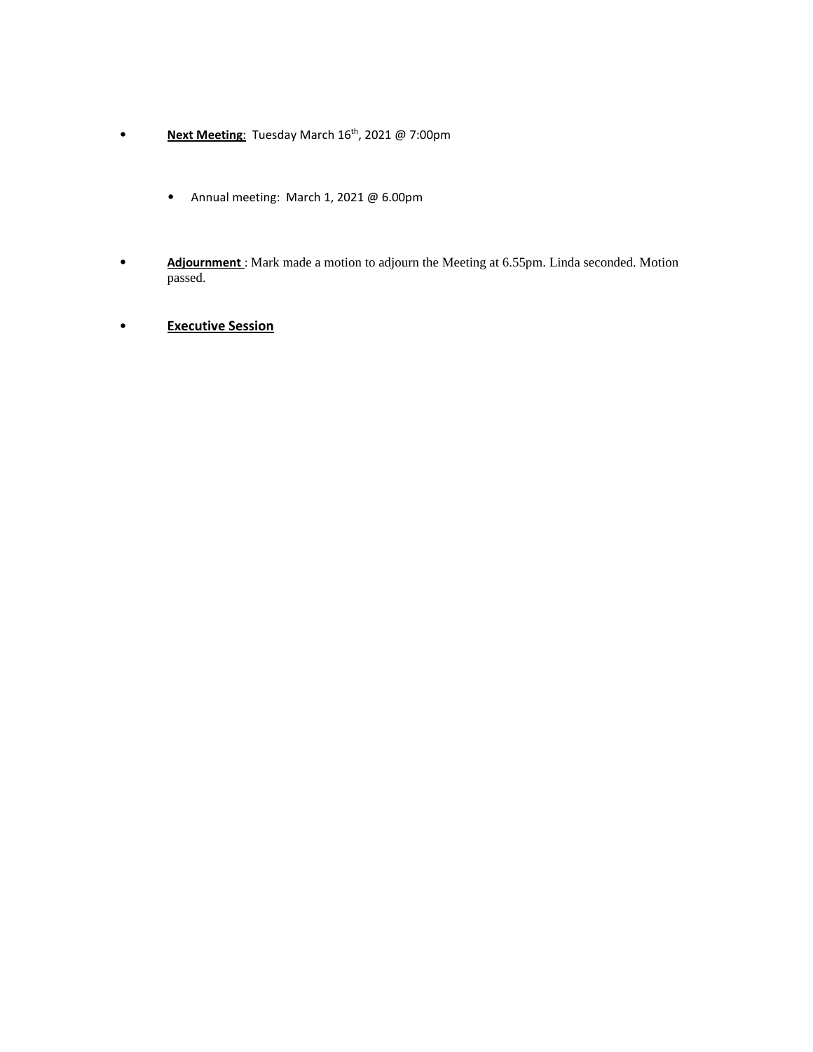- **Next Meeting**: Tuesday March 16th, 2021 @ 7:00pm
	- Annual meeting: March 1, 2021 @ 6.00pm
- **Adjournment** : Mark made a motion to adjourn the Meeting at 6.55pm. Linda seconded. Motion passed.
- **Executive Session**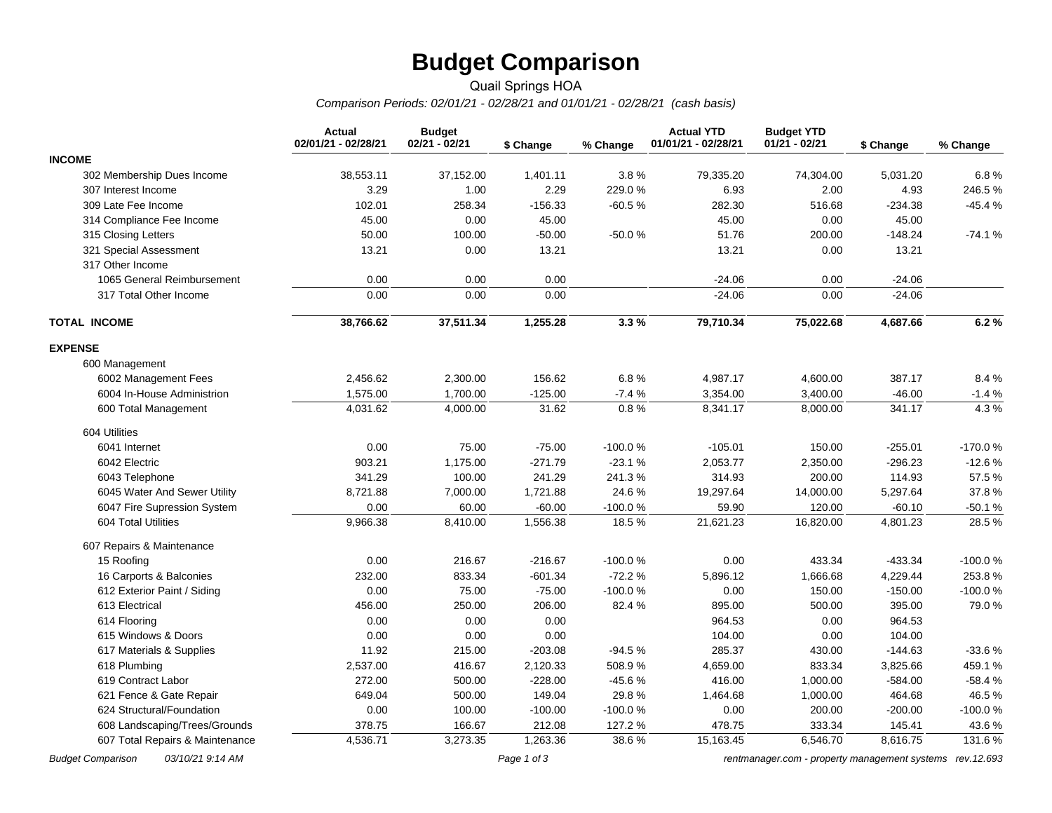# **Budget Comparison**

### Quail Springs HOA *Comparison Periods: 02/01/21 - 02/28/21 and 01/01/21 - 02/28/21 (cash basis)*

|                                 | <b>Actual</b><br>02/01/21 - 02/28/21 | <b>Budget</b><br>$02/21 - 02/21$ | \$ Change | % Change  | <b>Actual YTD</b><br>01/01/21 - 02/28/21 | <b>Budget YTD</b><br>$01/21 - 02/21$ | \$ Change | % Change  |
|---------------------------------|--------------------------------------|----------------------------------|-----------|-----------|------------------------------------------|--------------------------------------|-----------|-----------|
| <b>INCOME</b>                   |                                      |                                  |           |           |                                          |                                      |           |           |
| 302 Membership Dues Income      | 38,553.11                            | 37,152.00                        | 1,401.11  | 3.8%      | 79,335.20                                | 74,304.00                            | 5,031.20  | 6.8%      |
| 307 Interest Income             | 3.29                                 | 1.00                             | 2.29      | 229.0%    | 6.93                                     | 2.00                                 | 4.93      | 246.5%    |
| 309 Late Fee Income             | 102.01                               | 258.34                           | $-156.33$ | $-60.5%$  | 282.30                                   | 516.68                               | $-234.38$ | $-45.4%$  |
| 314 Compliance Fee Income       | 45.00                                | 0.00                             | 45.00     |           | 45.00                                    | 0.00                                 | 45.00     |           |
| 315 Closing Letters             | 50.00                                | 100.00                           | $-50.00$  | $-50.0%$  | 51.76                                    | 200.00                               | $-148.24$ | $-74.1%$  |
| 321 Special Assessment          | 13.21                                | 0.00                             | 13.21     |           | 13.21                                    | 0.00                                 | 13.21     |           |
| 317 Other Income                |                                      |                                  |           |           |                                          |                                      |           |           |
| 1065 General Reimbursement      | 0.00                                 | 0.00                             | 0.00      |           | $-24.06$                                 | 0.00                                 | $-24.06$  |           |
| 317 Total Other Income          | 0.00                                 | 0.00                             | 0.00      |           | $-24.06$                                 | 0.00                                 | $-24.06$  |           |
| <b>TOTAL INCOME</b>             | 38,766.62                            | 37,511.34                        | 1,255.28  | 3.3%      | 79,710.34                                | 75,022.68                            | 4,687.66  | 6.2%      |
| <b>EXPENSE</b>                  |                                      |                                  |           |           |                                          |                                      |           |           |
| 600 Management                  |                                      |                                  |           |           |                                          |                                      |           |           |
| 6002 Management Fees            | 2,456.62                             | 2,300.00                         | 156.62    | 6.8%      | 4,987.17                                 | 4,600.00                             | 387.17    | 8.4%      |
| 6004 In-House Administrion      | 1,575.00                             | 1,700.00                         | $-125.00$ | $-7.4%$   | 3,354.00                                 | 3,400.00                             | $-46.00$  | $-1.4%$   |
| 600 Total Management            | 4,031.62                             | 4,000.00                         | 31.62     | 0.8%      | 8,341.17                                 | 8,000.00                             | 341.17    | 4.3%      |
| 604 Utilities                   |                                      |                                  |           |           |                                          |                                      |           |           |
| 6041 Internet                   | 0.00                                 | 75.00                            | $-75.00$  | $-100.0%$ | $-105.01$                                | 150.00                               | $-255.01$ | -170.0%   |
| 6042 Electric                   | 903.21                               | 1,175.00                         | $-271.79$ | $-23.1%$  | 2,053.77                                 | 2,350.00                             | $-296.23$ | $-12.6%$  |
| 6043 Telephone                  | 341.29                               | 100.00                           | 241.29    | 241.3%    | 314.93                                   | 200.00                               | 114.93    | 57.5 %    |
| 6045 Water And Sewer Utility    | 8,721.88                             | 7,000.00                         | 1,721.88  | 24.6%     | 19,297.64                                | 14,000.00                            | 5,297.64  | 37.8%     |
| 6047 Fire Supression System     | 0.00                                 | 60.00                            | $-60.00$  | $-100.0%$ | 59.90                                    | 120.00                               | $-60.10$  | $-50.1%$  |
| 604 Total Utilities             | 9,966.38                             | 8,410.00                         | 1,556.38  | 18.5%     | 21,621.23                                | 16,820.00                            | 4,801.23  | 28.5%     |
| 607 Repairs & Maintenance       |                                      |                                  |           |           |                                          |                                      |           |           |
| 15 Roofing                      | 0.00                                 | 216.67                           | $-216.67$ | $-100.0%$ | 0.00                                     | 433.34                               | $-433.34$ | $-100.0%$ |
| 16 Carports & Balconies         | 232.00                               | 833.34                           | $-601.34$ | $-72.2%$  | 5,896.12                                 | 1,666.68                             | 4,229.44  | 253.8%    |
| 612 Exterior Paint / Siding     | 0.00                                 | 75.00                            | $-75.00$  | $-100.0%$ | 0.00                                     | 150.00                               | $-150.00$ | $-100.0%$ |
| 613 Electrical                  | 456.00                               | 250.00                           | 206.00    | 82.4%     | 895.00                                   | 500.00                               | 395.00    | 79.0%     |
| 614 Flooring                    | 0.00                                 | 0.00                             | 0.00      |           | 964.53                                   | 0.00                                 | 964.53    |           |
| 615 Windows & Doors             | 0.00                                 | 0.00                             | 0.00      |           | 104.00                                   | 0.00                                 | 104.00    |           |
| 617 Materials & Supplies        | 11.92                                | 215.00                           | $-203.08$ | $-94.5%$  | 285.37                                   | 430.00                               | $-144.63$ | $-33.6%$  |
| 618 Plumbing                    | 2,537.00                             | 416.67                           | 2,120.33  | 508.9%    | 4,659.00                                 | 833.34                               | 3,825.66  | 459.1%    |
| 619 Contract Labor              | 272.00                               | 500.00                           | $-228.00$ | $-45.6%$  | 416.00                                   | 1,000.00                             | $-584.00$ | $-58.4%$  |
| 621 Fence & Gate Repair         | 649.04                               | 500.00                           | 149.04    | 29.8%     | 1,464.68                                 | 1,000.00                             | 464.68    | 46.5%     |
| 624 Structural/Foundation       | 0.00                                 | 100.00                           | $-100.00$ | $-100.0%$ | 0.00                                     | 200.00                               | $-200.00$ | -100.0%   |
| 608 Landscaping/Trees/Grounds   | 378.75                               | 166.67                           | 212.08    | 127.2%    | 478.75                                   | 333.34                               | 145.41    | 43.6 %    |
| 607 Total Repairs & Maintenance | 4,536.71                             | 3,273.35                         | 1,263.36  | 38.6%     | 15,163.45                                | 6,546.70                             | 8,616.75  | 131.6%    |

*Budget Comparison 03/10/21 9:14 AM Page 1 of 3 [rentmanager.com - property management systems rev.12.693](http://www.rentmanager.com)*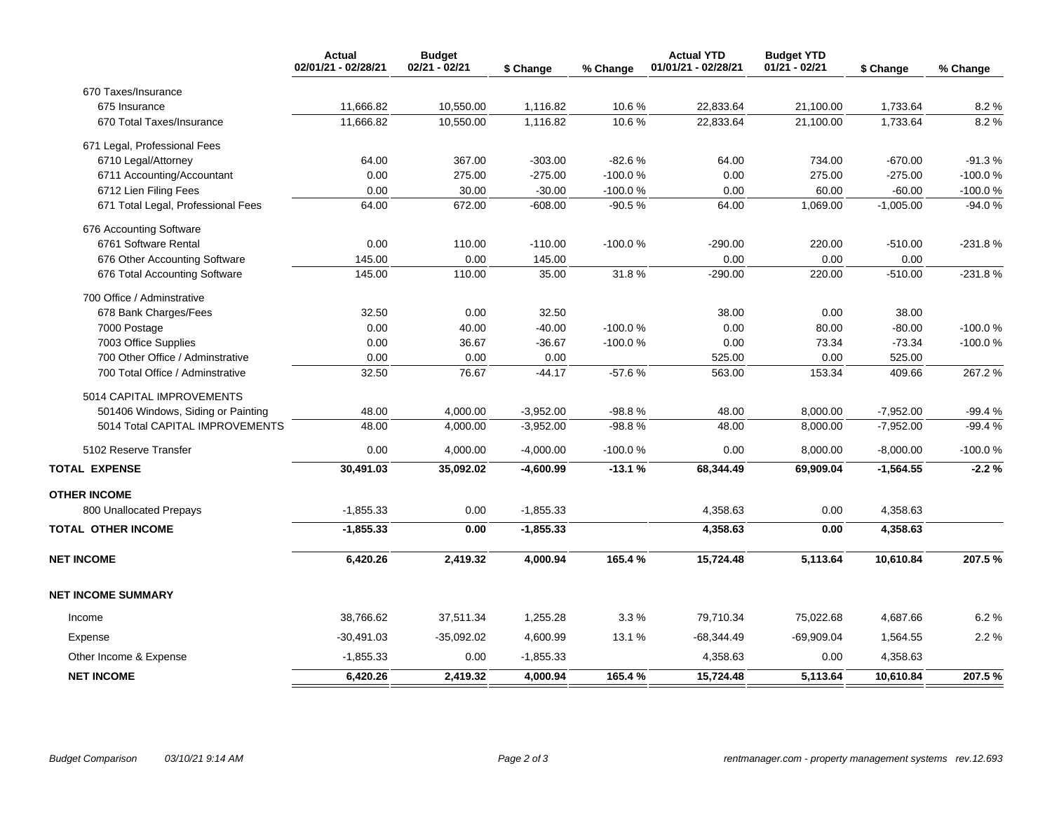|                                    | <b>Actual</b><br>02/01/21 - 02/28/21 | <b>Budget</b><br>02/21 - 02/21 | \$ Change   | % Change  | <b>Actual YTD</b><br>01/01/21 - 02/28/21 | <b>Budget YTD</b><br>$01/21 - 02/21$ | \$ Change   | % Change  |
|------------------------------------|--------------------------------------|--------------------------------|-------------|-----------|------------------------------------------|--------------------------------------|-------------|-----------|
| 670 Taxes/Insurance                |                                      |                                |             |           |                                          |                                      |             |           |
| 675 Insurance                      | 11,666.82                            | 10,550.00                      | 1,116.82    | 10.6%     | 22,833.64                                | 21,100.00                            | 1,733.64    | 8.2%      |
| 670 Total Taxes/Insurance          | 11,666.82                            | 10,550.00                      | 1,116.82    | 10.6%     | 22,833.64                                | 21,100.00                            | 1,733.64    | 8.2%      |
| 671 Legal, Professional Fees       |                                      |                                |             |           |                                          |                                      |             |           |
| 6710 Legal/Attorney                | 64.00                                | 367.00                         | $-303.00$   | $-82.6%$  | 64.00                                    | 734.00                               | $-670.00$   | $-91.3%$  |
| 6711 Accounting/Accountant         | 0.00                                 | 275.00                         | $-275.00$   | -100.0%   | 0.00                                     | 275.00                               | $-275.00$   | $-100.0%$ |
| 6712 Lien Filing Fees              | 0.00                                 | 30.00                          | $-30.00$    | $-100.0%$ | 0.00                                     | 60.00                                | $-60.00$    | $-100.0%$ |
| 671 Total Legal, Professional Fees | 64.00                                | 672.00                         | $-608.00$   | $-90.5%$  | 64.00                                    | 1,069.00                             | $-1,005.00$ | $-94.0%$  |
| 676 Accounting Software            |                                      |                                |             |           |                                          |                                      |             |           |
| 6761 Software Rental               | 0.00                                 | 110.00                         | $-110.00$   | $-100.0%$ | $-290.00$                                | 220.00                               | $-510.00$   | $-231.8%$ |
| 676 Other Accounting Software      | 145.00                               | 0.00                           | 145.00      |           | 0.00                                     | 0.00                                 | 0.00        |           |
| 676 Total Accounting Software      | 145.00                               | 110.00                         | 35.00       | 31.8%     | $-290.00$                                | 220.00                               | $-510.00$   | $-231.8%$ |
| 700 Office / Adminstrative         |                                      |                                |             |           |                                          |                                      |             |           |
| 678 Bank Charges/Fees              | 32.50                                | 0.00                           | 32.50       |           | 38.00                                    | 0.00                                 | 38.00       |           |
| 7000 Postage                       | 0.00                                 | 40.00                          | $-40.00$    | $-100.0%$ | 0.00                                     | 80.00                                | $-80.00$    | $-100.0%$ |
| 7003 Office Supplies               | 0.00                                 | 36.67                          | $-36.67$    | $-100.0%$ | 0.00                                     | 73.34                                | $-73.34$    | $-100.0%$ |
| 700 Other Office / Adminstrative   | 0.00                                 | 0.00                           | 0.00        |           | 525.00                                   | 0.00                                 | 525.00      |           |
| 700 Total Office / Adminstrative   | 32.50                                | 76.67                          | $-44.17$    | $-57.6%$  | 563.00                                   | 153.34                               | 409.66      | 267.2%    |
| 5014 CAPITAL IMPROVEMENTS          |                                      |                                |             |           |                                          |                                      |             |           |
| 501406 Windows, Siding or Painting | 48.00                                | 4,000.00                       | $-3,952.00$ | $-98.8%$  | 48.00                                    | 8,000.00                             | $-7,952.00$ | $-99.4%$  |
| 5014 Total CAPITAL IMPROVEMENTS    | 48.00                                | 4,000.00                       | $-3,952.00$ | $-98.8%$  | 48.00                                    | 8,000.00                             | $-7,952.00$ | $-99.4%$  |
| 5102 Reserve Transfer              | 0.00                                 | 4,000.00                       | $-4,000.00$ | $-100.0%$ | 0.00                                     | 8,000.00                             | $-8,000.00$ | $-100.0%$ |
| <b>TOTAL EXPENSE</b>               | 30,491.03                            | 35,092.02                      | $-4,600.99$ | $-13.1%$  | 68,344.49                                | 69,909.04                            | $-1,564.55$ | $-2.2%$   |
| <b>OTHER INCOME</b>                |                                      |                                |             |           |                                          |                                      |             |           |
| 800 Unallocated Prepays            | $-1,855.33$                          | 0.00                           | $-1,855.33$ |           | 4,358.63                                 | 0.00                                 | 4,358.63    |           |
| <b>TOTAL OTHER INCOME</b>          | $-1,855.33$                          | 0.00                           | $-1,855.33$ |           | 4,358.63                                 | 0.00                                 | 4,358.63    |           |
| <b>NET INCOME</b>                  | 6,420.26                             | 2,419.32                       | 4,000.94    | 165.4%    | 15,724.48                                | 5,113.64                             | 10,610.84   | 207.5%    |
| <b>NET INCOME SUMMARY</b>          |                                      |                                |             |           |                                          |                                      |             |           |
| Income                             | 38,766.62                            | 37,511.34                      | 1,255.28    | 3.3%      | 79,710.34                                | 75,022.68                            | 4,687.66    | 6.2%      |
| Expense                            | $-30,491.03$                         | $-35,092.02$                   | 4,600.99    | 13.1 %    | $-68,344.49$                             | $-69,909.04$                         | 1,564.55    | 2.2%      |
| Other Income & Expense             | $-1,855.33$                          | 0.00                           | $-1,855.33$ |           | 4,358.63                                 | 0.00                                 | 4,358.63    |           |
| <b>NET INCOME</b>                  | 6,420.26                             | 2,419.32                       | 4,000.94    | 165.4%    | 15,724.48                                | 5,113.64                             | 10,610.84   | 207.5%    |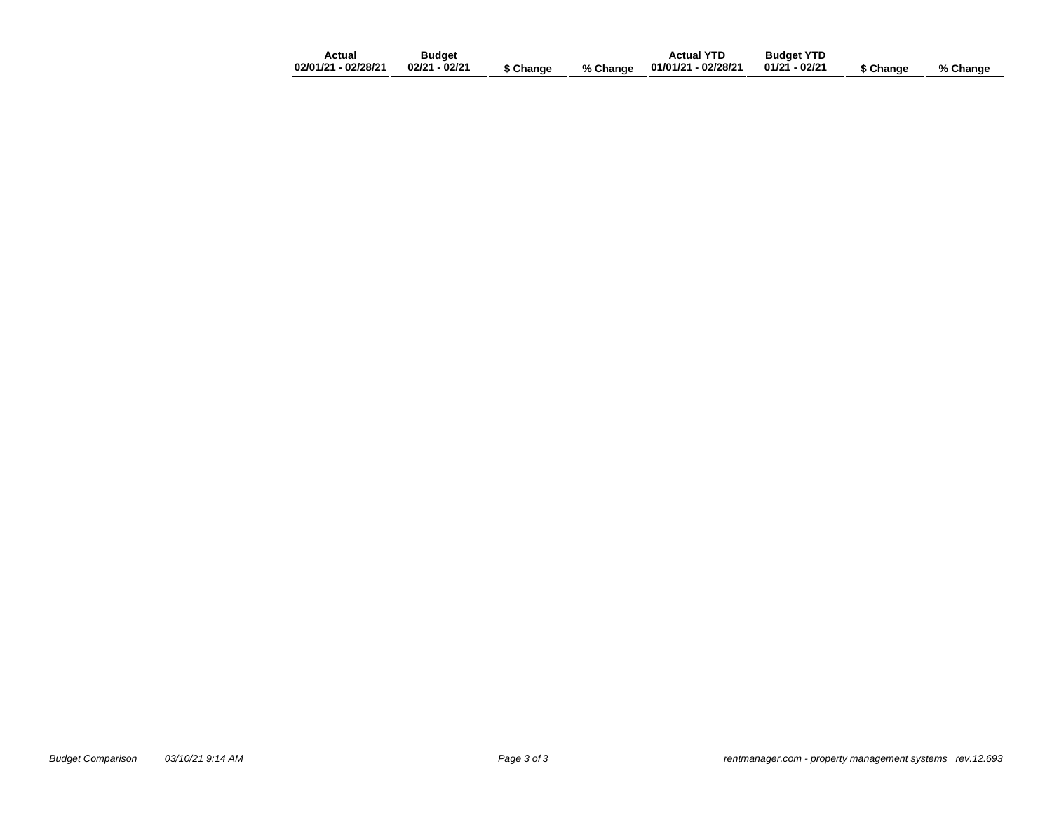| Actual                             | Budget |           | <b>Actual YTD</b> | <b>Budget YTD</b> |           |          |
|------------------------------------|--------|-----------|-------------------|-------------------|-----------|----------|
| 02/01/21 - 02/28/21  02/21 - 02/21 |        | \$ Change |                   |                   | \$ Change | % Change |